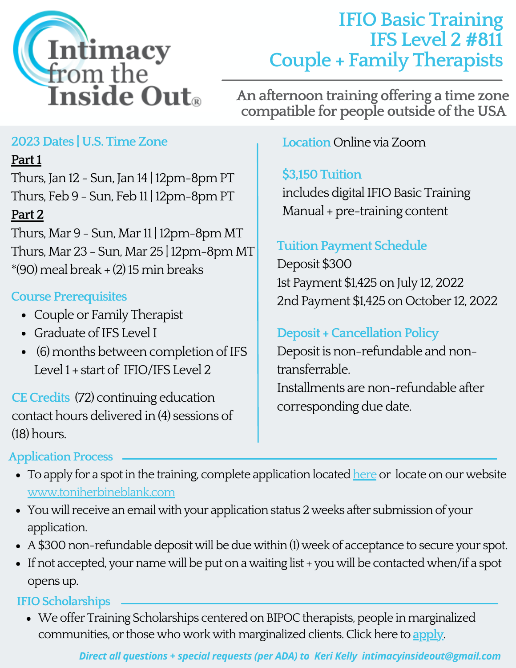

# **IFIO Basic Training IFS Level 2 #811 Couple + Family Therapists**

**An afternoon training offering a time zone compatible for people outside of the USA**

# **2023Dates | U.S. TimeZone**

## **Part1**

Thurs, Jan 12 - Sun, Jan 14 | 12pm-8pm PT Thurs, Feb 9 - Sun, Feb 11 | 12pm-8pm PT

# **Part 2**

Thurs, Mar  $9$  - Sun, Mar 11 | 12pm-8pm MT Thurs, Mar 23 - Sun, Mar 25 | 12pm-8pm MT  $*(90)$  meal break  $+(2)$  15 min breaks

# **Course Prerequisites**

- Couple or Family Therapist
- Graduate of IFS Level I
- (6) months between completion of IFS Level1 + start of IFIO/IFS Level 2

**CECredits** (72) continuing education contact hours delivered in(4) sessions of (18) hours.

# **Location**Online viaZoom

# **\$3,150Tuition**

includes digital IFIO Basic Training Manual + pre-training content

# **Tuition Payment Schedule**

Deposit \$300 1st Payment \$1,425 on July 12, 2022 2nd Payment \$1,425 on October 12, 2022

# **Deposit + Cancellation Policy**

Deposit is non-refundable and nontransferrable. Installments are non-refundable after corresponding due date.

### **Application Process**

- To apply for a spot in the training, complete application located [here](https://docs.google.com/forms/d/e/1FAIpQLScdFyFDvXdpBXutP9781uyXC4idnF0bDc0CUM4L7ojS-eOKSg/viewform) or locate on our website [www.toniherbineblank.com](https://www.toniherbineblank.com/)
- You will receive an email with your application status 2 weeks after submission of your application.
- A\$300non-refundable deposit will be due within(1) week of acceptance to secure your spot.
- If not accepted, your name will be put on a waiting list + you will be contacted when/if a spot opens up.

## **IFIO Scholarships**

• We offer Training Scholarships centered on BIPOC therapists, people in marginalized communities, or those who work with marginalized clients. Click here to **[apply](https://docs.google.com/forms/d/e/1FAIpQLSd3hXLzqXnE6AOW4121XkW2TkHsVOmjRiFednaohpBZ1oiWaQ/viewform)**.

#### *Direct all questions + special requests (per ADA) to Keri Kelly intimacyinsideout@gmail.com*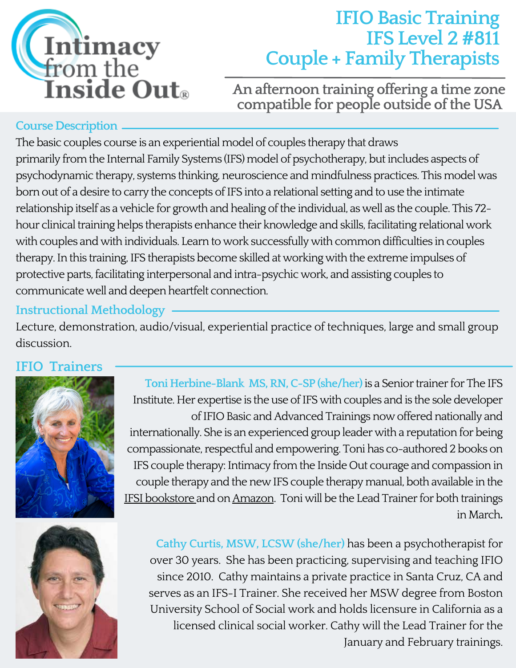

# **IFIO Basic Training IFS Level 2 #811 Couple + Family Therapists**

**An afternoon training offering a time zone compatible for people outside of the USA**

#### **Course Description**

The basic couples course is an experiential model of couples therapy that draws primarily from the Internal Family Systems (IFS) model of psychotherapy, but includes aspects of psychodynamic therapy, systems thinking, neuroscience and mindfulness practices. This model was born out of a desire to carry the concepts of IFS into a relational setting and to use the intimate relationship itself as a vehicle for growth and healing of the individual, as well as the couple. This 72hour clinical training helps therapists enhance their knowledge and skills, facilitating relational work with couples and with individuals. Learn to work successfully with common difficulties in couples therapy. In this training, IFS therapists become skilled at working with the extreme impulses of protective parts, facilitating interpersonal and intra-psychic work, and assisting couples to communicate well and deepen heartfelt connection.

#### **Instructional Methodology**

Lecture, demonstration, audio/visual, experiential practice of techniques, large and small group discussion.

#### **IFIO Trainers**



**ToniHerbine-Blank MS,RN,C-SP (she/her)**is a Senior trainer for The IFS Institute. Her expertise is the use of IFS with couples and is the sole developer of IFIO Basic and Advanced Trainings now offered nationally and internationally. She is an experienced group leader with a reputation for being compassionate, respectful and empowering. Toni has co-authored 2 books on IFS couple therapy: Intimacy from the Inside Out courage and compassion in couple therapy and the new IFS couple therapy manual, both available in the IFSI [bookstore](https://ifs-institute.com/store/author/33) and on [Amazon.](https://www.amazon.com/Books-Toni-Herbine-Blank/s?rh=n%3A283155%2Cp_27%3AToni+Herbine-Blank) Toni will be the Lead Trainer for both trainings inMarch**.**



**Cathy Curtis, MSW, LCSW (she/her)** has been a psychotherapist for over 30 years. She has been practicing, supervising and teaching IFIO since 2010. Cathy maintains a private practice in Santa Cruz, CA and serves as an IFS-I Trainer. She received her MSW degree from Boston University School of Social work and holds licensure in California as a licensed clinical social worker. Cathy will the Lead Trainer for the January and February trainings.